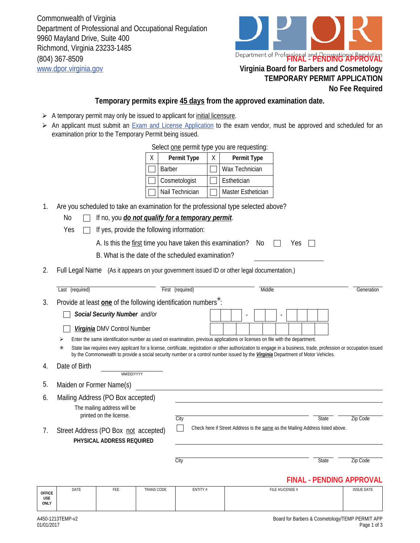Commonwealth of Virginia Department of Professional and Occupational Regulation 9960 Mayland Drive, Suite 400 Richmond, Virginia 23233-1485 (804) 367-8509 www.dpor.virginia.gov **Virginia Board for Barbers and Cosmetology**



## **TEMPORARY PERMIT APPLICATION No Fee Required**

## **Temporary permits expire 45 days from the approved examination date.**

- $\triangleright$  A temporary permit may only be issued to applicant for *initial licensure*.
- An applicant must submit an Exam and License Application to the exam vendor, must be approved and scheduled for an examination prior to the Temporary Permit being issued.

| Select one permit type you are requesting: |                 |   |                    |  |  |  |  |  |  |  |
|--------------------------------------------|-----------------|---|--------------------|--|--|--|--|--|--|--|
| X.                                         | Permit Type     | X | Permit Type        |  |  |  |  |  |  |  |
|                                            | <b>Barber</b>   |   | Wax Technician     |  |  |  |  |  |  |  |
|                                            | Cosmetologist   |   | Esthetician        |  |  |  |  |  |  |  |
|                                            | Nail Technician |   | Master Esthetician |  |  |  |  |  |  |  |

- 1. Are you scheduled to take an examination for the professional type selected above?
	- No If no, you *do not qualify for a temporary permit.*
	- Yes  $\Box$  If yes, provide the following information:

| A. Is this the first time you have taken this examination? No $\Box$ Yes $\Box$ |  |  |  |  |  |  |  |
|---------------------------------------------------------------------------------|--|--|--|--|--|--|--|
|---------------------------------------------------------------------------------|--|--|--|--|--|--|--|

- B. What is the date of the scheduled examination?
- 2. Full Legal Name (As it appears on your government issued ID or other legal documentation.)

|                                                                                                                                  | Last (required)                                                                    |                                                                                                                                                                                                                                                                                                        |                   | First (required) |                                                                               |                          |  |  | Middle                   |  |  |              |  |                                 | Generation |
|----------------------------------------------------------------------------------------------------------------------------------|------------------------------------------------------------------------------------|--------------------------------------------------------------------------------------------------------------------------------------------------------------------------------------------------------------------------------------------------------------------------------------------------------|-------------------|------------------|-------------------------------------------------------------------------------|--------------------------|--|--|--------------------------|--|--|--------------|--|---------------------------------|------------|
| 3.                                                                                                                               | Provide at least <b>one</b> of the following identification numbers <sup>*</sup> : |                                                                                                                                                                                                                                                                                                        |                   |                  |                                                                               |                          |  |  |                          |  |  |              |  |                                 |            |
|                                                                                                                                  |                                                                                    | Social Security Number and/or                                                                                                                                                                                                                                                                          |                   |                  |                                                                               | $\overline{\phantom{a}}$ |  |  | $\overline{\phantom{a}}$ |  |  |              |  |                                 |            |
|                                                                                                                                  |                                                                                    | Virginia DMV Control Number                                                                                                                                                                                                                                                                            |                   |                  |                                                                               |                          |  |  |                          |  |  |              |  |                                 |            |
| Enter the same identification number as used on examination, previous applications or licenses on file with the department.<br>⋗ |                                                                                    |                                                                                                                                                                                                                                                                                                        |                   |                  |                                                                               |                          |  |  |                          |  |  |              |  |                                 |            |
|                                                                                                                                  | $\ast$                                                                             | State law requires every applicant for a license, certificate, registration or other authorization to engage in a business, trade, profession or occupation issued<br>by the Commonwealth to provide a social security number or a control number issued by the Virginia Department of Motor Vehicles. |                   |                  |                                                                               |                          |  |  |                          |  |  |              |  |                                 |            |
| 4.                                                                                                                               | Date of Birth                                                                      | MM/DD/YYYY                                                                                                                                                                                                                                                                                             |                   |                  |                                                                               |                          |  |  |                          |  |  |              |  |                                 |            |
| 5.                                                                                                                               | Maiden or Former Name(s)                                                           |                                                                                                                                                                                                                                                                                                        |                   |                  |                                                                               |                          |  |  |                          |  |  |              |  |                                 |            |
| 6.                                                                                                                               | Mailing Address (PO Box accepted)                                                  |                                                                                                                                                                                                                                                                                                        |                   |                  |                                                                               |                          |  |  |                          |  |  |              |  |                                 |            |
|                                                                                                                                  |                                                                                    | The mailing address will be<br>printed on the license.                                                                                                                                                                                                                                                 |                   | City             |                                                                               |                          |  |  |                          |  |  | State        |  | Zip Code                        |            |
| 7.                                                                                                                               | Street Address (PO Box not accepted)                                               | PHYSICAL ADDRESS REQUIRED                                                                                                                                                                                                                                                                              |                   |                  | Check here if Street Address is the same as the Mailing Address listed above. |                          |  |  |                          |  |  |              |  |                                 |            |
|                                                                                                                                  |                                                                                    |                                                                                                                                                                                                                                                                                                        |                   | City             |                                                                               |                          |  |  |                          |  |  | <b>State</b> |  | Zip Code                        |            |
|                                                                                                                                  |                                                                                    |                                                                                                                                                                                                                                                                                                        |                   |                  |                                                                               |                          |  |  |                          |  |  |              |  | <b>FINAL - PENDING APPROVAL</b> |            |
| <b>OFFICE</b><br><b>USE</b><br><b>ONLY</b>                                                                                       | DATE                                                                               | FEE                                                                                                                                                                                                                                                                                                    | <b>TRANS CODE</b> | ENTITY#          |                                                                               |                          |  |  | FILE #/LICENSE #         |  |  |              |  | <b>ISSUE DATE</b>               |            |
|                                                                                                                                  |                                                                                    |                                                                                                                                                                                                                                                                                                        |                   |                  |                                                                               |                          |  |  |                          |  |  |              |  |                                 |            |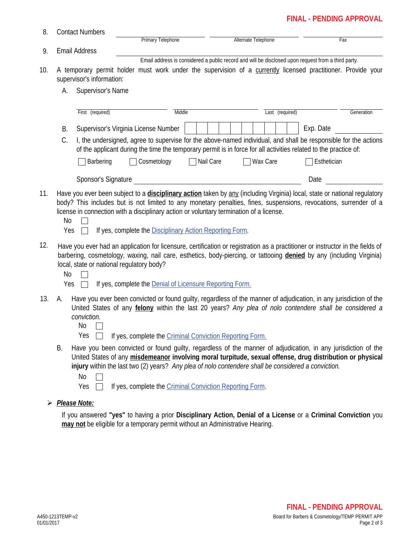## **FINAL - PENDING APPROVAL**

| 8.  |                                                                                                                                                                      | <b>Contact Numbers</b>                                                                                                                                                                                                                                                                                                                           |                   |             |        |                                                                                                    |                     |                 |     |             |            |  |
|-----|----------------------------------------------------------------------------------------------------------------------------------------------------------------------|--------------------------------------------------------------------------------------------------------------------------------------------------------------------------------------------------------------------------------------------------------------------------------------------------------------------------------------------------|-------------------|-------------|--------|----------------------------------------------------------------------------------------------------|---------------------|-----------------|-----|-------------|------------|--|
|     |                                                                                                                                                                      |                                                                                                                                                                                                                                                                                                                                                  | Primary Telephone |             |        |                                                                                                    | Alternate Telephone |                 | Fax |             |            |  |
| 9.  | <b>Email Address</b>                                                                                                                                                 |                                                                                                                                                                                                                                                                                                                                                  |                   |             |        |                                                                                                    |                     |                 |     |             |            |  |
| 10. | A temporary permit holder must work under the supervision of a currently licensed practitioner. Provide your<br>supervisor's information:<br>Supervisor's Name<br>А. |                                                                                                                                                                                                                                                                                                                                                  |                   |             |        | Email address is considered a public record and will be disclosed upon request from a third party. |                     |                 |     |             |            |  |
|     |                                                                                                                                                                      |                                                                                                                                                                                                                                                                                                                                                  |                   |             |        |                                                                                                    |                     |                 |     |             |            |  |
|     |                                                                                                                                                                      | First (required)                                                                                                                                                                                                                                                                                                                                 |                   |             | Middle |                                                                                                    |                     | Last (required) |     |             | Generation |  |
|     | <b>B.</b>                                                                                                                                                            | Supervisor's Virginia License Number                                                                                                                                                                                                                                                                                                             |                   |             |        |                                                                                                    |                     |                 |     | Exp. Date   |            |  |
|     | C.                                                                                                                                                                   | I, the undersigned, agree to supervise for the above-named individual, and shall be responsible for the actions<br>of the applicant during the time the temporary permit is in force for all activities related to the practice of:                                                                                                              |                   |             |        |                                                                                                    |                     |                 |     |             |            |  |
|     |                                                                                                                                                                      | Barbering                                                                                                                                                                                                                                                                                                                                        |                   | Cosmetology |        | Nail Care<br>$\mathcal{L}$                                                                         |                     | Wax Care        |     | Esthetician |            |  |
|     |                                                                                                                                                                      | Sponsor's Signature                                                                                                                                                                                                                                                                                                                              |                   |             |        |                                                                                                    |                     |                 |     | Date        |            |  |
| 11. | No<br>Yes                                                                                                                                                            | Have you ever been subject to a <i>disciplinary action</i> taken by any (including Virginia) local, state or national regulatory<br>body? This includes but is not limited to any monetary penalties, fines, suspensions, revocations, surrender of a<br>license in connection with a disciplinary action or voluntary termination of a license. |                   |             |        | If yes, complete the Disciplinary Action Reporting Form.                                           |                     |                 |     |             |            |  |
| 12. | <b>No</b><br>Yes                                                                                                                                                     | Have you ever had an application for licensure, certification or registration as a practitioner or instructor in the fields of<br>barbering, cosmetology, waxing, nail care, esthetics, body-piercing, or tattooing denied by any (including Virginia)<br>local, state or national regulatory body?                                              |                   |             |        | If yes, complete the <b>Denial of Licensure Reporting Form.</b>                                    |                     |                 |     |             |            |  |
| 13. | А.                                                                                                                                                                   | Have you ever been convicted or found guilty, regardless of the manner of adjudication, in any jurisdiction of the<br>United States of any felony within the last 20 years? Any plea of nolo contendere shall be considered a<br>conviction.<br>No<br>Yes                                                                                        |                   |             |        | If yes, complete the Criminal Conviction Reporting Form.                                           |                     |                 |     |             |            |  |
|     | В.                                                                                                                                                                   | Have you been convicted or found guilty, regardless of the manner of adjudication, in any jurisdiction of the<br>United States of any misdemeanor involving moral turpitude, sexual offense, drug distribution or physical<br>injury within the last two (2) years? Any plea of nolo contendere shall be considered a conviction.<br>No<br>Yes   |                   |             |        | If yes, complete the Criminal Conviction Reporting Form.                                           |                     |                 |     |             |            |  |

*Please Note:*

If you answered **"yes"** to having a prior **Disciplinary Action, Denial of a License** or a **Criminal Conviction** you **may not** be eligible for a temporary permit without an Administrative Hearing.